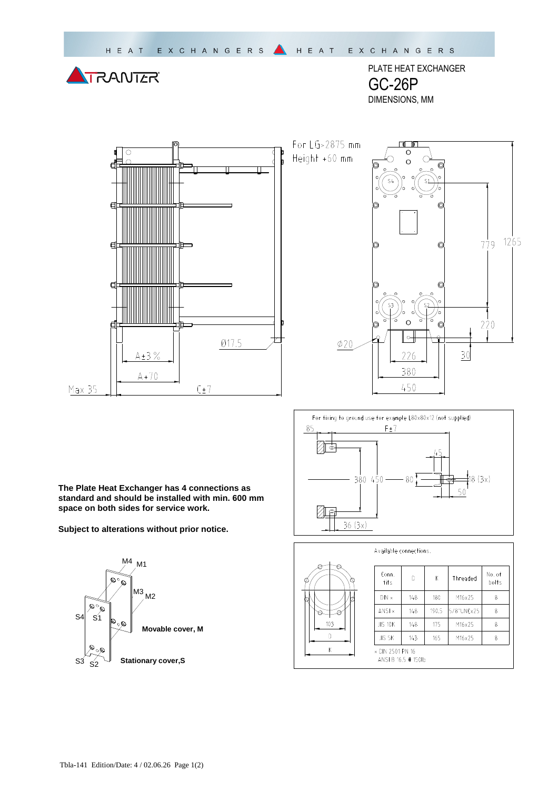

PLATE HEAT EXCHANGER GC-26P DIMENSIONS, MM







**The Plate Heat Exchanger has 4 connections as standard and should be installed with min. 600 mm space on both sides for service work.** 

**Subject to alterations without prior notice.**





| Available connections. |
|------------------------|
|                        |

| Conn.<br>fits                         | D   | Κ     | Threaded   | No. of<br>bolts |
|---------------------------------------|-----|-------|------------|-----------------|
| $DIN \times$                          | 148 | 180   | M16x25     | 8               |
| ANSI x                                | 148 | 190.5 | 5/8"UNCx25 | 8               |
| <b>JIS 10K</b>                        | 148 | 175   | M16x25     | 8               |
| JIS 5K                                | 143 | 165   | M16x25     | 8               |
| × DIN 2501 PN 16<br>ANSLB 16.5 #1501b |     |       |            |                 |